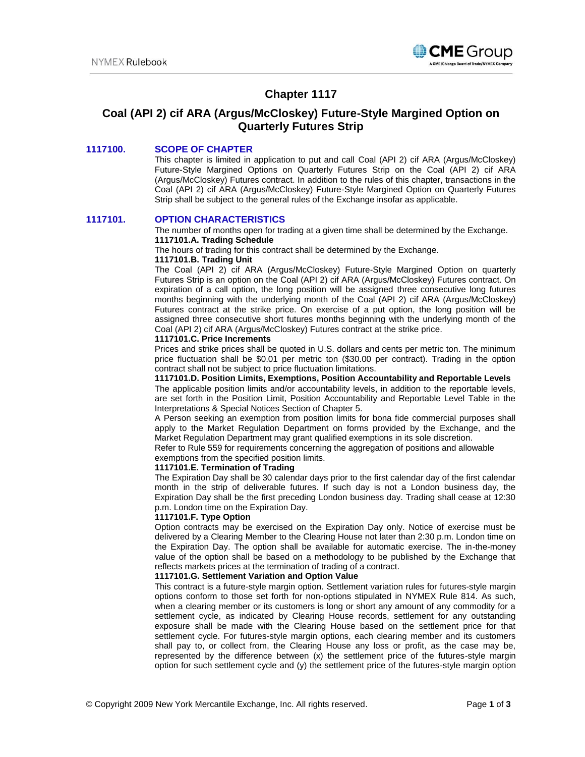

# **Chapter 1117**

# **Coal (API 2) cif ARA (Argus/McCloskey) Future-Style Margined Option on Quarterly Futures Strip**

## **1117100. SCOPE OF CHAPTER**

This chapter is limited in application to put and call Coal (API 2) cif ARA (Argus/McCloskey) Future-Style Margined Options on Quarterly Futures Strip on the Coal (API 2) cif ARA (Argus/McCloskey) Futures contract. In addition to the rules of this chapter, transactions in the Coal (API 2) cif ARA (Argus/McCloskey) Future-Style Margined Option on Quarterly Futures Strip shall be subject to the general rules of the Exchange insofar as applicable.

## **1117101. OPTION CHARACTERISTICS**

The number of months open for trading at a given time shall be determined by the Exchange. **1117101.A. Trading Schedule**

The hours of trading for this contract shall be determined by the Exchange. **1117101.B. Trading Unit**

The Coal (API 2) cif ARA (Argus/McCloskey) Future-Style Margined Option on quarterly Futures Strip is an option on the Coal (API 2) cif ARA (Argus/McCloskey) Futures contract. On expiration of a call option, the long position will be assigned three consecutive long futures months beginning with the underlying month of the Coal (API 2) cif ARA (Argus/McCloskey) Futures contract at the strike price. On exercise of a put option, the long position will be assigned three consecutive short futures months beginning with the underlying month of the Coal (API 2) cif ARA (Argus/McCloskey) Futures contract at the strike price.

### **1117101.C. Price Increments**

Prices and strike prices shall be quoted in U.S. dollars and cents per metric ton. The minimum price fluctuation shall be \$0.01 per metric ton (\$30.00 per contract). Trading in the option contract shall not be subject to price fluctuation limitations.

### **1117101.D. Position Limits, Exemptions, Position Accountability and Reportable Levels**

The applicable position limits and/or accountability levels, in addition to the reportable levels, are set forth in the Position Limit, Position Accountability and Reportable Level Table in the Interpretations & Special Notices Section of Chapter 5.

A Person seeking an exemption from position limits for bona fide commercial purposes shall apply to the Market Regulation Department on forms provided by the Exchange, and the Market Regulation Department may grant qualified exemptions in its sole discretion.

Refer to Rule 559 for requirements concerning the aggregation of positions and allowable exemptions from the specified position limits.

### **1117101.E. Termination of Trading**

The Expiration Day shall be 30 calendar days prior to the first calendar day of the first calendar month in the strip of deliverable futures. If such day is not a London business day, the Expiration Day shall be the first preceding London business day. Trading shall cease at 12:30 p.m. London time on the Expiration Day.

#### **1117101.F. Type Option**

Option contracts may be exercised on the Expiration Day only. Notice of exercise must be delivered by a Clearing Member to the Clearing House not later than 2:30 p.m. London time on the Expiration Day. The option shall be available for automatic exercise. The in-the-money value of the option shall be based on a methodology to be published by the Exchange that reflects markets prices at the termination of trading of a contract.

#### **1117101.G. Settlement Variation and Option Value**

This contract is a future-style margin option. Settlement variation rules for futures-style margin options conform to those set forth for non-options stipulated in NYMEX Rule 814. As such, when a clearing member or its customers is long or short any amount of any commodity for a settlement cycle, as indicated by Clearing House records, settlement for any outstanding exposure shall be made with the Clearing House based on the settlement price for that settlement cycle. For futures-style margin options, each clearing member and its customers shall pay to, or collect from, the Clearing House any loss or profit, as the case may be, represented by the difference between (x) the settlement price of the futures-style margin option for such settlement cycle and (y) the settlement price of the futures-style margin option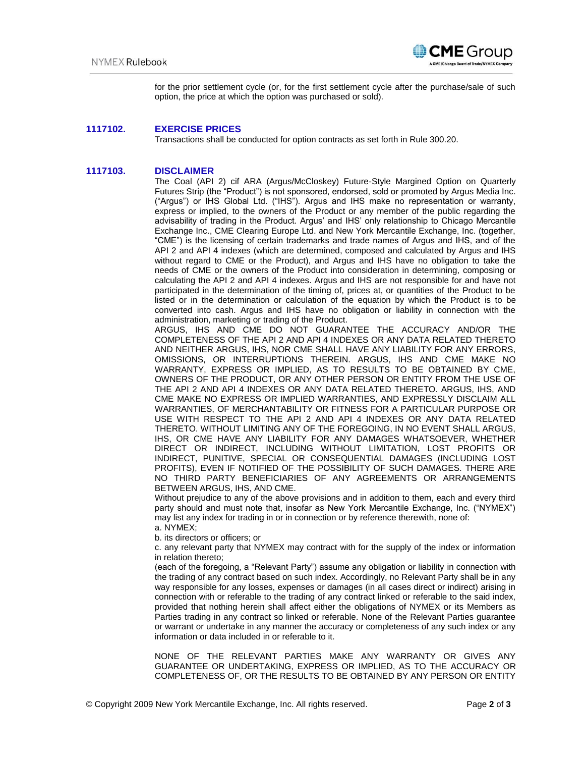

for the prior settlement cycle (or, for the first settlement cycle after the purchase/sale of such option, the price at which the option was purchased or sold).

## **1117102. EXERCISE PRICES**

Transactions shall be conducted for option contracts as set forth in Rule 300.20.

## **1117103. DISCLAIMER**

The Coal (API 2) cif ARA (Argus/McCloskey) Future-Style Margined Option on Quarterly Futures Strip (the "Product") is not sponsored, endorsed, sold or promoted by Argus Media Inc. ("Argus") or IHS Global Ltd. ("IHS"). Argus and IHS make no representation or warranty, express or implied, to the owners of the Product or any member of the public regarding the advisability of trading in the Product. Argus' and IHS' only relationship to Chicago Mercantile Exchange Inc., CME Clearing Europe Ltd. and New York Mercantile Exchange, Inc. (together, "CME") is the licensing of certain trademarks and trade names of Argus and IHS, and of the API 2 and API 4 indexes (which are determined, composed and calculated by Argus and IHS without regard to CME or the Product), and Argus and IHS have no obligation to take the needs of CME or the owners of the Product into consideration in determining, composing or calculating the API 2 and API 4 indexes. Argus and IHS are not responsible for and have not participated in the determination of the timing of, prices at, or quantities of the Product to be listed or in the determination or calculation of the equation by which the Product is to be converted into cash. Argus and IHS have no obligation or liability in connection with the administration, marketing or trading of the Product.

ARGUS, IHS AND CME DO NOT GUARANTEE THE ACCURACY AND/OR THE COMPLETENESS OF THE API 2 AND API 4 INDEXES OR ANY DATA RELATED THERETO AND NEITHER ARGUS, IHS, NOR CME SHALL HAVE ANY LIABILITY FOR ANY ERRORS, OMISSIONS, OR INTERRUPTIONS THEREIN. ARGUS, IHS AND CME MAKE NO WARRANTY, EXPRESS OR IMPLIED, AS TO RESULTS TO BE OBTAINED BY CME, OWNERS OF THE PRODUCT, OR ANY OTHER PERSON OR ENTITY FROM THE USE OF THE API 2 AND API 4 INDEXES OR ANY DATA RELATED THERETO. ARGUS, IHS, AND CME MAKE NO EXPRESS OR IMPLIED WARRANTIES, AND EXPRESSLY DISCLAIM ALL WARRANTIES, OF MERCHANTABILITY OR FITNESS FOR A PARTICULAR PURPOSE OR USE WITH RESPECT TO THE API 2 AND API 4 INDEXES OR ANY DATA RELATED THERETO. WITHOUT LIMITING ANY OF THE FOREGOING, IN NO EVENT SHALL ARGUS, IHS, OR CME HAVE ANY LIABILITY FOR ANY DAMAGES WHATSOEVER, WHETHER DIRECT OR INDIRECT, INCLUDING WITHOUT LIMITATION, LOST PROFITS OR INDIRECT, PUNITIVE, SPECIAL OR CONSEQUENTIAL DAMAGES (INCLUDING LOST PROFITS), EVEN IF NOTIFIED OF THE POSSIBILITY OF SUCH DAMAGES. THERE ARE NO THIRD PARTY BENEFICIARIES OF ANY AGREEMENTS OR ARRANGEMENTS BETWEEN ARGUS, IHS, AND CME.

Without prejudice to any of the above provisions and in addition to them, each and every third party should and must note that, insofar as New York Mercantile Exchange, Inc. ("NYMEX") may list any index for trading in or in connection or by reference therewith, none of: a. NYMEX;

b. its directors or officers; or

c. any relevant party that NYMEX may contract with for the supply of the index or information in relation thereto;

(each of the foregoing, a "Relevant Party") assume any obligation or liability in connection with the trading of any contract based on such index. Accordingly, no Relevant Party shall be in any way responsible for any losses, expenses or damages (in all cases direct or indirect) arising in connection with or referable to the trading of any contract linked or referable to the said index, provided that nothing herein shall affect either the obligations of NYMEX or its Members as Parties trading in any contract so linked or referable. None of the Relevant Parties guarantee or warrant or undertake in any manner the accuracy or completeness of any such index or any information or data included in or referable to it.

NONE OF THE RELEVANT PARTIES MAKE ANY WARRANTY OR GIVES ANY GUARANTEE OR UNDERTAKING, EXPRESS OR IMPLIED, AS TO THE ACCURACY OR COMPLETENESS OF, OR THE RESULTS TO BE OBTAINED BY ANY PERSON OR ENTITY